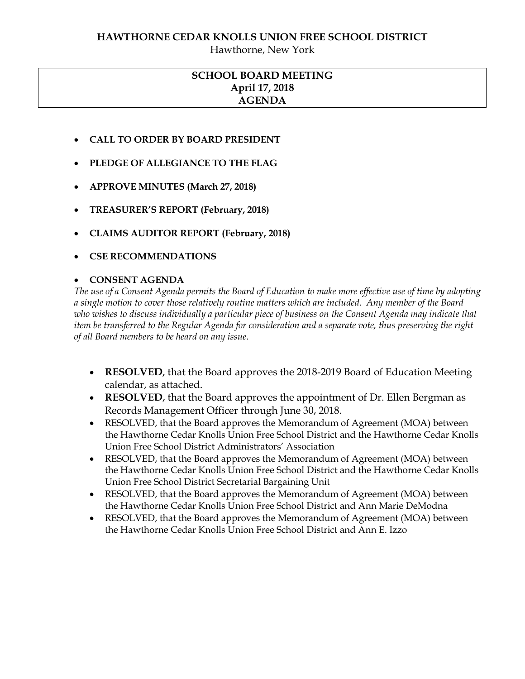### **HAWTHORNE CEDAR KNOLLS UNION FREE SCHOOL DISTRICT**

Hawthorne, New York

# **SCHOOL BOARD MEETING April 17, 2018 AGENDA**

- **CALL TO ORDER BY BOARD PRESIDENT**
- **PLEDGE OF ALLEGIANCE TO THE FLAG**
- **APPROVE MINUTES (March 27, 2018)**
- **TREASURER'S REPORT (February, 2018)**
- **CLAIMS AUDITOR REPORT (February, 2018)**
- **CSE RECOMMENDATIONS**

#### **CONSENT AGENDA**

*The use of a Consent Agenda permits the Board of Education to make more effective use of time by adopting a single motion to cover those relatively routine matters which are included. Any member of the Board who wishes to discuss individually a particular piece of business on the Consent Agenda may indicate that item be transferred to the Regular Agenda for consideration and a separate vote, thus preserving the right of all Board members to be heard on any issue.* 

- **RESOLVED**, that the Board approves the 2018-2019 Board of Education Meeting calendar, as attached.
- **RESOLVED**, that the Board approves the appointment of Dr. Ellen Bergman as Records Management Officer through June 30, 2018.
- RESOLVED, that the Board approves the Memorandum of Agreement (MOA) between the Hawthorne Cedar Knolls Union Free School District and the Hawthorne Cedar Knolls Union Free School District Administrators' Association
- RESOLVED, that the Board approves the Memorandum of Agreement (MOA) between the Hawthorne Cedar Knolls Union Free School District and the Hawthorne Cedar Knolls Union Free School District Secretarial Bargaining Unit
- RESOLVED, that the Board approves the Memorandum of Agreement (MOA) between the Hawthorne Cedar Knolls Union Free School District and Ann Marie DeModna
- RESOLVED, that the Board approves the Memorandum of Agreement (MOA) between the Hawthorne Cedar Knolls Union Free School District and Ann E. Izzo